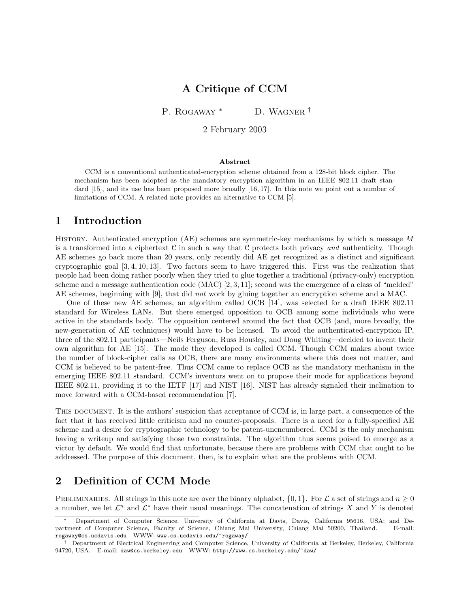## A Critique of CCM

P. ROGAWAY<sup>\*</sup> D. WAGNER<sup>†</sup>

2 February 2003

#### Abstract

CCM is a conventional authenticated-encryption scheme obtained from a 128-bit block cipher. The mechanism has been adopted as the mandatory encryption algorithm in an IEEE 802.11 draft standard [15], and its use has been proposed more broadly [16, 17]. In this note we point out a number of limitations of CCM. A related note provides an alternative to CCM [5].

## 1 Introduction

History. Authenticated encryption (AE) schemes are symmetric-key mechanisms by which a message M is a transformed into a ciphertext  $C$  in such a way that  $C$  protects both privacy and authenticity. Though AE schemes go back more than 20 years, only recently did AE get recognized as a distinct and significant cryptographic goal [3, 4, 10, 13]. Two factors seem to have triggered this. First was the realization that people had been doing rather poorly when they tried to glue together a traditional (privacy-only) encryption scheme and a message authentication code (MAC) [2, 3, 11]; second was the emergence of a class of "melded" AE schemes, beginning with [9], that did not work by gluing together an encryption scheme and a MAC.

One of these new AE schemes, an algorithm called OCB [14], was selected for a draft IEEE 802.11 standard for Wireless LANs. But there emerged opposition to OCB among some individuals who were active in the standards body. The opposition centered around the fact that OCB (and, more broadly, the new-generation of AE techniques) would have to be licensed. To avoid the authenticated-encryption IP, three of the 802.11 participants—Neils Ferguson, Russ Housley, and Doug Whiting—decided to invent their own algorithm for AE [15]. The mode they developed is called CCM. Though CCM makes about twice the number of block-cipher calls as OCB, there are many environments where this does not matter, and CCM is believed to be patent-free. Thus CCM came to replace OCB as the mandatory mechanism in the emerging IEEE 802.11 standard. CCM's inventors went on to propose their mode for applications beyond IEEE 802.11, providing it to the IETF [17] and NIST [16]. NIST has already signaled their inclination to move forward with a CCM-based recommendation [7].

THIS DOCUMENT. It is the authors' suspicion that acceptance of CCM is, in large part, a consequence of the fact that it has received little criticism and no counter-proposals. There is a need for a fully-specified AE scheme and a desire for cryptographic technology to be patent-unencumbered. CCM is the only mechanism having a writeup and satisfying those two constraints. The algorithm thus seems poised to emerge as a victor by default. We would find that unfortunate, because there are problems with CCM that ought to be addressed. The purpose of this document, then, is to explain what are the problems with CCM.

# 2 Definition of CCM Mode

PRELIMINARIES. All strings in this note are over the binary alphabet,  $\{0, 1\}$ . For  $\mathcal L$  a set of strings and  $n \geq 0$ a number, we let  $\mathcal{L}^n$  and  $\mathcal{L}^*$  have their usual meanings. The concatenation of strings X and Y is denoted

<sup>∗</sup> Department of Computer Science, University of California at Davis, Davis, California 95616, USA; and Department of Computer Science, Faculty of Science, Chiang Mai University, Chiang Mai 50200, Thailand. E-mail: rogaway@cs.ucdavis.edu WWW: www.cs.ucdavis.edu/~rogaway/

<sup>†</sup> Department of Electrical Engineering and Computer Science, University of California at Berkeley, Berkeley, California 94720, USA. E-mail: daw@cs.berkeley.edu WWW: http://www.cs.berkeley.edu/~daw/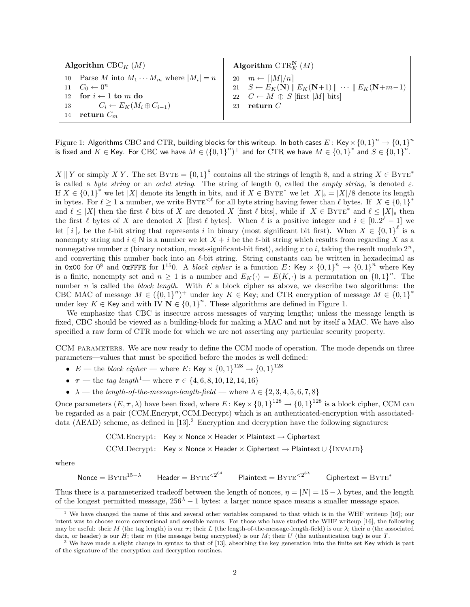| Algorithm CBC <sub>K</sub> $(M)$ |                                                    | Algorithm CTR <sup>N</sup> $(M)$ |                                                                                                              |  |  |
|----------------------------------|----------------------------------------------------|----------------------------------|--------------------------------------------------------------------------------------------------------------|--|--|
|                                  | 10 Parse M into $M_1 \cdots M_m$ where $ M_i  = n$ |                                  | 20 $m \leftarrow \lceil  M /n \rceil$                                                                        |  |  |
|                                  | $11\quad C_0\leftarrow 0^n$                        |                                  | 21 $S \leftarrow E_K(\mathbf{N}) \parallel E_K(\mathbf{N}+1) \parallel \cdots \parallel E_K(\mathbf{N}+m-1)$ |  |  |
|                                  | 12 for $i \leftarrow 1$ to m do                    |                                  | 22 $C \leftarrow M \oplus S$ [first  M  bits]                                                                |  |  |
|                                  | 13 $C_i \leftarrow E_K(M_i \oplus C_{i-1})$        | 23                               | ${\bf return} \; C$                                                                                          |  |  |
| 14                               | return $C_m$                                       |                                  |                                                                                                              |  |  |

Figure 1: Algorithms CBC and CTR, building blocks for this writeup. In both cases  $E\colon$  Key $\times\{0,1\}^n\to\{0,1\}^n$ is fixed and  $K \in$  Key. For CBC we have  $M \in (\{0,1\}^n)^+$  and for CTR we have  $M \in \{0,1\}^*$  and  $S \in \{0,1\}^n$ .

X || Y or simply X Y. The set BYTE =  $\{0,1\}^8$  contains all the strings of length 8, and a string  $X \in BYTE^*$ is called a byte string or an octet string. The string of length 0, called the empty string, is denoted  $\varepsilon$ . If  $X \in \{0,1\}^*$  we let  $|X|$  denote its length in bits, and if  $X \in \text{BYTE}^*$  we let  $|X|_s = |X|/8$  denote its length in bytes. For  $\ell \geq 1$  a number, we write BYTE<sup> $<\ell$ </sup> for all byte string having fewer than  $\ell$  bytes. If  $X \in \{0, 1\}^*$ and  $\ell \leq |X|$  then the first  $\ell$  bits of X are denoted X [first  $\ell$  bits], while if  $X \in BYTE^*$  and  $\ell \leq |X|_8$  then the first  $\ell$  bytes of X are denoted X [first  $\ell$  bytes]. When  $\ell$  is a positive integer and  $i \in [0..2^{\ell} - 1]$  we let  $[i]_e$  be the  $\ell$ -bit string that represents i in binary (most significant bit first). When  $X \in \{0,1\}^{\ell}$  is a nonempty string and  $i \in \mathbb{N}$  is a number we let  $X + i$  be the  $\ell$ -bit string which results from regarding X as a nonnegative number x (binary notation, most-significant-bit first), adding x to i, taking the result modulo  $2^n$ , and converting this number back into an  $\ell$ -bit string. String constants can be written in hexadecimal as in 0x00 for  $0^8$  and 0xFFFE for 1<sup>15</sup>0. A *block cipher* is a function E: Key  $\times$   $\{0,1\}$ <sup>n</sup>  $\rightarrow$   $\{0,1\}$ <sup>n</sup> where Key is a finite, nonempty set and  $n \geq 1$  is a number and  $E_K(\cdot) = E(K, \cdot)$  is a permutation on  $\{0, 1\}^n$ . The number n is called the block length. With  $E$  a block cipher as above, we describe two algorithms: the CBC MAC of message  $M \in (\{0,1\}^n)^+$  under key  $K \in \mathsf{Key}$ ; and CTR encryption of message  $M \in \{0,1\}^*$ under key K ∈ Key and with IV  $N \in \{0,1\}^n$ . These algorithms are defined in Figure 1.

We emphasize that CBC is insecure across messages of varying lengths; unless the message length is fixed, CBC should be viewed as a building-block for making a MAC and not by itself a MAC. We have also specified a raw form of CTR mode for which we are not asserting any particular security property.

CCM PARAMETERS. We are now ready to define the CCM mode of operation. The mode depends on three parameters—values that must be specified before the modes is well defined:

- $E$  the block cipher where E: Key  $\times$   $\{0,1\}^{128} \rightarrow \{0,1\}^{128}$
- $\tau$  the tag length<sup>1</sup> where  $\tau \in \{4, 6, 8, 10, 12, 14, 16\}$
- $\lambda$  the length-of-the-message-length-field where  $\lambda \in \{2, 3, 4, 5, 6, 7, 8\}$

Once parameters  $(E, \tau, \lambda)$  have been fixed, where E: Key  $\times$  {0,1}<sup>128</sup>  $\rightarrow$  {0,1}<sup>128</sup> is a block cipher, CCM can be regarded as a pair (CCM.Encrypt, CCM.Decrypt) which is an authenticated-encryption with associateddata (AEAD) scheme, as defined in  $[13]$ .<sup>2</sup> Encryption and decryption have the following signatures:

$$
CCM. \text{Encrypt}: \text{ Key} \times \text{None} \times \text{Header} \times \text{Plaintext} \rightarrow \text{Ciphertext}
$$

$$
CCM. \n
$$
DCM. \n
$$
Key \times \n
$$
Mean \times \n
$$
Chapter \times \n
$$
\rightarrow \n
$$
\{INVALID\}
$$
$$
$$
$$
$$
$$
$$

where

$$
\text{None} = \text{B}\text{Y}\text{T}\text{E}^{15-\lambda} \qquad \text{Header} = \text{B}\text{Y}\text{T}\text{E}^{<2^{64}} \qquad \text{Plaintext} = \text{B}\text{Y}\text{T}\text{E}^{<2^{8\lambda}} \qquad \text{Ciphertext} = \text{B}\text{Y}\text{T}\text{E}^*
$$

Thus there is a parameterized tradeoff between the length of nonces,  $\eta = |N| = 15 - \lambda$  bytes, and the length of the longest permitted message,  $256<sup>\lambda</sup> - 1$  bytes: a larger nonce space means a smaller message space.

We have changed the name of this and several other variables compared to that which is in the WHF writeup [16]; our intent was to choose more conventional and sensible names. For those who have studied the WHF writeup [16], the following may be useful: their M (the tag length) is our  $\tau$ ; their L (the length-of-the-message-length-field) is our  $\lambda$ ; their a (the associated data, or header) is our H; their m (the message being encrypted) is our M; their U (the authentication tag) is our T.

<sup>2</sup> We have made a slight change in syntax to that of [13], absorbing the key generation into the finite set Key which is part of the signature of the encryption and decryption routines.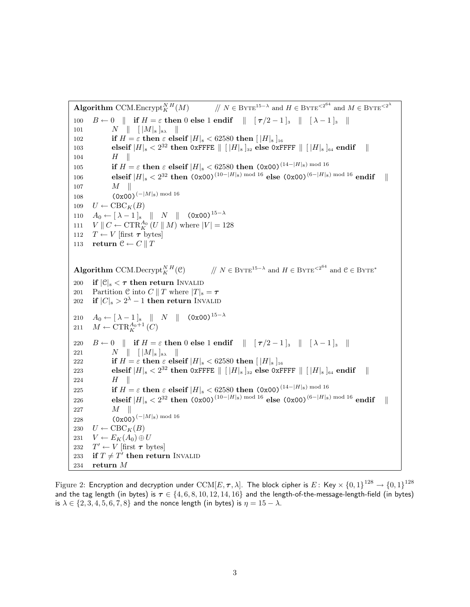Algorithm CCM.Encrypt<sup>NH</sup>(M)  $\frac{N H}{K}(M)$  //  $N \in \text{ByTE}^{15-\lambda}$  and  $H \in \text{ByTE}^{<2^{64}}$  and  $M \in \text{ByTE}^{<2^{\lambda}}$ 100  $B \leftarrow 0$  || if  $H = \varepsilon$  then 0 else 1 endif  $\| \tau/2 - 1 \|_3 \| \lambda - 1 \|_3 \|$ 101  $N \parallel [ |M|_8 ]_{8\lambda} \parallel$ 102 if  $H = \varepsilon$  then  $\varepsilon$  elseif  $|H|_8 < 62580$  then  $[|H|_8]_{16}$ 103 elseif  $|H|_8 < 2^{32}$  then 0xFFFE  $\| [H|_8]_{32}$  else 0xFFFF  $\| [H|_8]_{64}$  endif  $\|$  $104$   $H \parallel$ 105 **if**  $H = \varepsilon$  then  $\varepsilon$  elseif  $|H|_8 < 62580$  then  $(0x00)^{(14-|H|_8) \text{ mod } 16}$  $106 \qquad \qquad {\bf elseif}\ |H|_8 < 2^{32} {\bf~ then}~~ \left(0x00\right)^{(10-|H|_8)~\text{mod}~16} {\bf~ else}~~ \left(0x00\right)^{(6-|H|_8)~\text{mod}~16} {\bf~ endif} \quad \parallel$  $107$   $M$   $\parallel$ 108 (0x00)<sup>(−|M|<sub>8</sub>) mod 16</sup> 109  $U \leftarrow \text{CBC}_K(B)$ 110  $A_0 \leftarrow [\lambda - 1]_8 \parallel N \parallel (0 \times 00)^{15-\lambda}$ 111  $V \parallel C \leftarrow \text{CTR}_{K}^{A_0} (U \parallel M)$  where  $|V| = 128$ 112  $T \leftarrow V$  [first  $\tau$  bytes] 113 return  $C \leftarrow C \parallel T$ Algorithm CCM.Decrypt<sup>NH</sup> $(\mathcal{C})$  $\frac{N H}{K}(\mathcal{C})$  //  $N \in \text{ByTE}^{15-\lambda}$  and  $H \in \text{ByTE}^{<2^{64}}$  and  $\mathcal{C} \in \text{ByTE}^*$ 200 if  $|\mathcal{C}|_8 < \tau$  then return INVALID 201 Partition C into  $C || T$  where  $|T|_8 = \tau$ 202 if  $|C|_8 > 2^{\lambda} - 1$  then return Invalid 210  $A_0 \leftarrow [\lambda - 1]_8 \parallel N \parallel (0 \times 00)^{15-\lambda}$ 211  $M \leftarrow \text{CTR}_{K}^{A_0+1}(C)$ 220  $B \leftarrow 0 \parallel$  if  $H = \varepsilon$  then 0 else 1 endif  $\parallel \left[ \tau/2 - 1 \right]_3 \parallel \left[ \lambda - 1 \right]_3 \parallel$ 221  $N \parallel [ |M|_8 ]_{8\lambda} \parallel$ 222 if  $H = \varepsilon$  then  $\varepsilon$  elseif  $|H|_8 < 62580$  then  $[|H|_8]_{16}$ 223 elseif  $|H|_8 < 2^{32}$  then 0xFFFE  $\|$   $[$   $|H|_8$   $]_{32}$  else 0xFFFF  $\|$   $[$   $|H|_8$   $]_{64}$  endif  $\|$ 224  $H \parallel$ 225 **if**  $H = \varepsilon$  then  $\varepsilon$  elseif  $|H|_8 < 62580$  then  $(0 \times 00)^{(14-|H|_8)}$  mod 16  ${\rm (226)}\qquad\qquad {\rm (b)4cm} \quad {\rm (b)}\qquad 2^{32}~{\rm (b)}\quad {\rm (0x00)}^{(10-|H|_8)~{\rm mod}~16}~{\rm (b)}\quad {\rm (b)}\quad {\rm (b)}\quad {\rm (c)}\quad {\rm (d)}\quad {\rm (d)}\quad {\rm (e)}\quad {\rm (e)}\quad {\rm (f)}\quad {\rm (g)}\quad {\rm (g)}\quad {\rm (h)}\quad {\rm (h)}\quad {\rm (i)}\quad {\rm (j)}\quad {\rm (j)}\quad {\rm (k)}\quad {\rm (l)}\quad {\rm (l)}\quad {\rm (l)}\quad {\rm (l)}\$ 227  $M \parallel$ 228 (0x00)<sup>(−|M|s)</sup> mod 16 230  $U \leftarrow \text{CBC}_K(B)$ 231  $V \leftarrow E_K(A_0) \oplus U$ 232  $T' \leftarrow V$  [first  $\tau$  bytes] 233 if  $T \neq T'$  then return INVALID 234 return M

Figure 2: Encryption and decryption under  ${\rm CCM}[E,\bm{\tau},\lambda].$  The block cipher is  $E\colon$  Key  $\times$   $\{0,1\}^{128}\to\{0,1\}^{128}$ and the tag length (in bytes) is  $\tau \in \{4, 6, 8, 10, 12, 14, 16\}$  and the length-of-the-message-length-field (in bytes) is  $\lambda \in \{2, 3, 4, 5, 6, 7, 8\}$  and the nonce length (in bytes) is  $\eta = 15 - \lambda$ .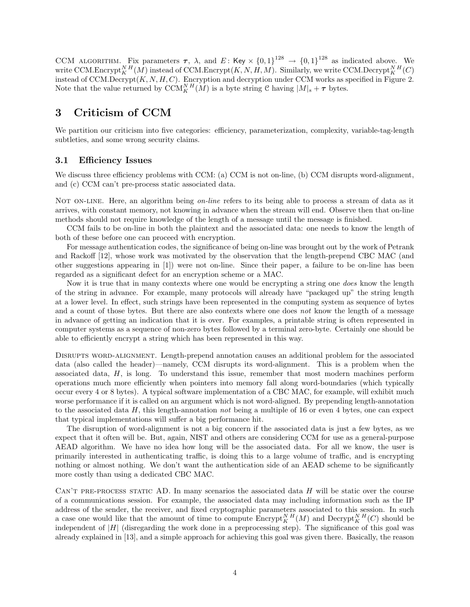CCM ALGORITHM. Fix parameters  $\tau$ ,  $\lambda$ , and E: Key  $\times$   $\{0,1\}^{128} \rightarrow \{0,1\}^{128}$  as indicated above. We write CCM.Encrypt ${}^{N}_{K}{}^{H}(\tilde{M})$  instead of CCM.Encrypt $(K, N, H, M)$ . Similarly, we write CCM.Decrypt ${}^{N}_{K}{}^{H}(C)$ instead of CCM.Decrypt $(K, N, H, C)$ . Encryption and decryption under CCM works as specified in Figure 2. Note that the value returned by  $\text{CCM}_K^{N,H}(M)$  is a byte string C having  $|M|_8 + \tau$  bytes.

# 3 Criticism of CCM

We partition our criticism into five categories: efficiency, parameterization, complexity, variable-tag-length subtleties, and some wrong security claims.

### 3.1 Efficiency Issues

We discuss three efficiency problems with CCM: (a) CCM is not on-line, (b) CCM disrupts word-alignment, and (c) CCM can't pre-process static associated data.

NOT ON-LINE. Here, an algorithm being on-line refers to its being able to process a stream of data as it arrives, with constant memory, not knowing in advance when the stream will end. Observe then that on-line methods should not require knowledge of the length of a message until the message is finished.

CCM fails to be on-line in both the plaintext and the associated data: one needs to know the length of both of these before one can proceed with encryption.

For message authentication codes, the significance of being on-line was brought out by the work of Petrank and Rackoff [12], whose work was motivated by the observation that the length-prepend CBC MAC (and other suggestions appearing in [1]) were not on-line. Since their paper, a failure to be on-line has been regarded as a significant defect for an encryption scheme or a MAC.

Now it is true that in many contexts where one would be encrypting a string one *does* know the length of the string in advance. For example, many protocols will already have "packaged up" the string length at a lower level. In effect, such strings have been represented in the computing system as sequence of bytes and a count of those bytes. But there are also contexts where one does not know the length of a message in advance of getting an indication that it is over. For examples, a printable string is often represented in computer systems as a sequence of non-zero bytes followed by a terminal zero-byte. Certainly one should be able to efficiently encrypt a string which has been represented in this way.

Disrupts word-alignment. Length-prepend annotation causes an additional problem for the associated data (also called the header)—namely, CCM disrupts its word-alignment. This is a problem when the associated data, H, is long. To understand this issue, remember that most modern machines perform operations much more efficiently when pointers into memory fall along word-boundaries (which typically occur every 4 or 8 bytes). A typical software implementation of a CBC MAC, for example, will exhibit much worse performance if it is called on an argument which is not word-aligned. By prepending length-annotation to the associated data H, this length-annotation not being a multiple of 16 or even 4 bytes, one can expect that typical implementations will suffer a big performance hit.

The disruption of word-alignment is not a big concern if the associated data is just a few bytes, as we expect that it often will be. But, again, NIST and others are considering CCM for use as a general-purpose AEAD algorithm. We have no idea how long will be the associated data. For all we know, the user is primarily interested in authenticating traffic, is doing this to a large volume of traffic, and is encrypting nothing or almost nothing. We don't want the authentication side of an AEAD scheme to be significantly more costly than using a dedicated CBC MAC.

CAN'T PRE-PROCESS STATIC AD. In many scenarios the associated data  $H$  will be static over the course of a communications session. For example, the associated data may including information such as the IP address of the sender, the receiver, and fixed cryptographic parameters associated to this session. In such a case one would like that the amount of time to compute  $\text{Encrypt}_{K}^{N,H}(M)$  and  $\text{Decrypt}_{K}^{N,H}(C)$  should be independent of  $|H|$  (disregarding the work done in a preprocessing step). The significance of this goal was already explained in [13], and a simple approach for achieving this goal was given there. Basically, the reason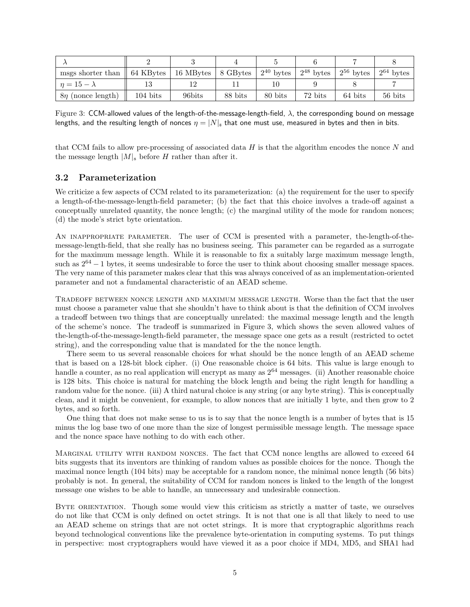| msgs shorter than $\parallel$ 64 KBytes $\parallel$ |                    | 16 MBytes   8 GBytes |         | $2^{40}$ bytes | $2^{48}$ bytes | $2^{56}$ bytes | $2^{64}$ bytes |
|-----------------------------------------------------|--------------------|----------------------|---------|----------------|----------------|----------------|----------------|
| $n=15-\lambda$                                      |                    |                      |         |                |                |                |                |
| $8\eta$ (nonce length)                              | $104 \text{ bits}$ | 96bits               | 88 bits | 80 bits        | 72 bits        | 64 bits        | 56 bits        |

Figure 3: CCM-allowed values of the length-of-the-message-length-field,  $λ$ , the corresponding bound on message lengths, and the resulting length of nonces  $\eta = |N|_8$  that one must use, measured in bytes and then in bits.

that CCM fails to allow pre-processing of associated data  $H$  is that the algorithm encodes the nonce  $N$  and the message length  $|M|_8$  before H rather than after it.

### 3.2 Parameterization

We criticize a few aspects of CCM related to its parameterization: (a) the requirement for the user to specify a length-of-the-message-length-field parameter; (b) the fact that this choice involves a trade-off against a conceptually unrelated quantity, the nonce length; (c) the marginal utility of the mode for random nonces; (d) the mode's strict byte orientation.

An inappropriate parameter. The user of CCM is presented with a parameter, the-length-of-themessage-length-field, that she really has no business seeing. This parameter can be regarded as a surrogate for the maximum message length. While it is reasonable to fix a suitably large maximum message length, such as  $2^{64} - 1$  bytes, it seems undesirable to force the user to think about choosing smaller message spaces. The very name of this parameter makes clear that this was always conceived of as an implementation-oriented parameter and not a fundamental characteristic of an AEAD scheme.

Tradeoff between nonce length and maximum message length. Worse than the fact that the user must choose a parameter value that she shouldn't have to think about is that the definition of CCM involves a tradeoff between two things that are conceptually unrelated: the maximal message length and the length of the scheme's nonce. The tradeoff is summarized in Figure 3, which shows the seven allowed values of the-length-of-the-message-length-field parameter, the message space one gets as a result (restricted to octet string), and the corresponding value that is mandated for the the nonce length.

There seem to us several reasonable choices for what should be the nonce length of an AEAD scheme that is based on a 128-bit block cipher. (i) One reasonable choice is 64 bits. This value is large enough to handle a counter, as no real application will encrypt as many as  $2^{64}$  messages. (ii) Another reasonable choice is 128 bits. This choice is natural for matching the block length and being the right length for handling a random value for the nonce. (iii) A third natural choice is any string (or any byte string). This is conceptually clean, and it might be convenient, for example, to allow nonces that are initially 1 byte, and then grow to 2 bytes, and so forth.

One thing that does not make sense to us is to say that the nonce length is a number of bytes that is 15 minus the log base two of one more than the size of longest permissible message length. The message space and the nonce space have nothing to do with each other.

MARGINAL UTILITY WITH RANDOM NONCES. The fact that CCM nonce lengths are allowed to exceed 64 bits suggests that its inventors are thinking of random values as possible choices for the nonce. Though the maximal nonce length (104 bits) may be acceptable for a random nonce, the minimal nonce length (56 bits) probably is not. In general, the suitability of CCM for random nonces is linked to the length of the longest message one wishes to be able to handle, an unnecessary and undesirable connection.

BYTE ORIENTATION. Though some would view this criticism as strictly a matter of taste, we ourselves do not like that CCM is only defined on octet strings. It is not that one is all that likely to need to use an AEAD scheme on strings that are not octet strings. It is more that cryptographic algorithms reach beyond technological conventions like the prevalence byte-orientation in computing systems. To put things in perspective: most cryptographers would have viewed it as a poor choice if MD4, MD5, and SHA1 had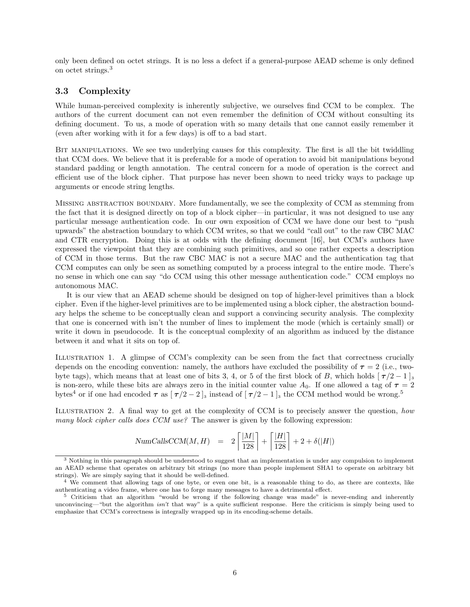only been defined on octet strings. It is no less a defect if a general-purpose AEAD scheme is only defined on octet strings.<sup>3</sup>

### 3.3 Complexity

While human-perceived complexity is inherently subjective, we ourselves find CCM to be complex. The authors of the current document can not even remember the definition of CCM without consulting its defining document. To us, a mode of operation with so many details that one cannot easily remember it (even after working with it for a few days) is off to a bad start.

BIT MANIPULATIONS. We see two underlying causes for this complexity. The first is all the bit twiddling that CCM does. We believe that it is preferable for a mode of operation to avoid bit manipulations beyond standard padding or length annotation. The central concern for a mode of operation is the correct and efficient use of the block cipher. That purpose has never been shown to need tricky ways to package up arguments or encode string lengths.

Missing abstraction boundary. More fundamentally, we see the complexity of CCM as stemming from the fact that it is designed directly on top of a block cipher—in particular, it was not designed to use any particular message authentication code. In our own exposition of CCM we have done our best to "push upwards" the abstraction boundary to which CCM writes, so that we could "call out" to the raw CBC MAC and CTR encryption. Doing this is at odds with the defining document [16], but CCM's authors have expressed the viewpoint that they are combining such primitives, and so one rather expects a description of CCM in those terms. But the raw CBC MAC is not a secure MAC and the authentication tag that CCM computes can only be seen as something computed by a process integral to the entire mode. There's no sense in which one can say "do CCM using this other message authentication code." CCM employs no autonomous MAC.

It is our view that an AEAD scheme should be designed on top of higher-level primitives than a block cipher. Even if the higher-level primitives are to be implemented using a block cipher, the abstraction boundary helps the scheme to be conceptually clean and support a convincing security analysis. The complexity that one is concerned with isn't the number of lines to implement the mode (which is certainly small) or write it down in pseudocode. It is the conceptual complexity of an algorithm as induced by the distance between it and what it sits on top of.

Illustration 1. A glimpse of CCM's complexity can be seen from the fact that correctness crucially depends on the encoding convention: namely, the authors have excluded the possibility of  $\tau = 2$  (i.e., twobyte tags), which means that at least one of bits 3, 4, or 5 of the first block of B, which holds  $[\tau/2-1]_3$ is non-zero, while these bits are always zero in the initial counter value  $A_0$ . If one allowed a tag of  $\tau = 2$ bytes<sup>4</sup> or if one had encoded  $\tau$  as  $[\tau/2-2]_3$  instead of  $[\tau/2-1]_3$  the CCM method would be wrong.<sup>5</sup>

Illustration 2. A final way to get at the complexity of CCM is to precisely answer the question, how many block cipher calls does CCM use? The answer is given by the following expression:

$$
\text{NumCallsCCM}(M, H) = 2\left\lceil \frac{|M|}{128} \right\rceil + \left\lceil \frac{|H|}{128} \right\rceil + 2 + \delta(|H|)
$$

<sup>3</sup> Nothing in this paragraph should be understood to suggest that an implementation is under any compulsion to implement an AEAD scheme that operates on arbitrary bit strings (no more than people implement SHA1 to operate on arbitrary bit strings). We are simply saying that it should be well-defined.

<sup>&</sup>lt;sup>4</sup> We comment that allowing tags of one byte, or even one bit, is a reasonable thing to do, as there are contexts, like authenticating a video frame, where one has to forge many messages to have a detrimental effect.

<sup>5</sup> Criticism that an algorithm "would be wrong if the following change was made" is never-ending and inherently unconvincing—"but the algorithm isn't that way" is a quite sufficient response. Here the criticism is simply being used to emphasize that CCM's correctness is integrally wrapped up in its encoding-scheme details.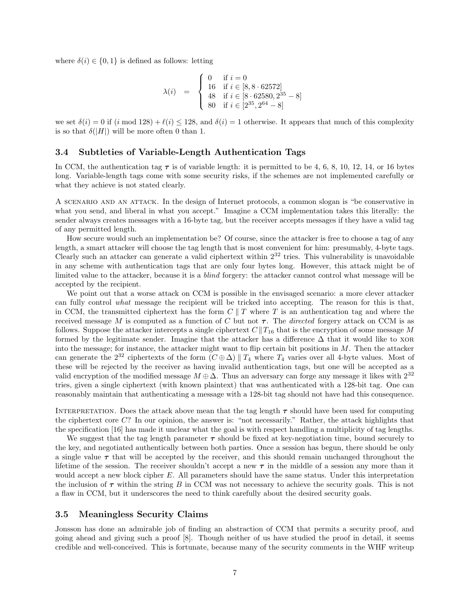where  $\delta(i) \in \{0, 1\}$  is defined as follows: letting

$$
\lambda(i) = \begin{cases}\n0 & \text{if } i = 0 \\
16 & \text{if } i \in [8, 8 \cdot 62572] \\
48 & \text{if } i \in [8 \cdot 62580, 2^{35} - 8] \\
80 & \text{if } i \in [2^{35}, 2^{64} - 8]\n\end{cases}
$$

we set  $\delta(i) = 0$  if  $(i \mod 128) + \ell(i) \le 128$ , and  $\delta(i) = 1$  otherwise. It appears that much of this complexity is so that  $\delta(|H|)$  will be more often 0 than 1.

#### 3.4 Subtleties of Variable-Length Authentication Tags

In CCM, the authentication tag  $\tau$  is of variable length: it is permitted to be 4, 6, 8, 10, 12, 14, or 16 bytes long. Variable-length tags come with some security risks, if the schemes are not implemented carefully or what they achieve is not stated clearly.

A scenario and an attack. In the design of Internet protocols, a common slogan is "be conservative in what you send, and liberal in what you accept." Imagine a CCM implementation takes this literally: the sender always creates messages with a 16-byte tag, but the receiver accepts messages if they have a valid tag of any permitted length.

How secure would such an implementation be? Of course, since the attacker is free to choose a tag of any length, a smart attacker will choose the tag length that is most convenient for him: presumably, 4-byte tags. Clearly such an attacker can generate a valid ciphertext within  $2^{32}$  tries. This vulnerability is unavoidable in any scheme with authentication tags that are only four bytes long. However, this attack might be of limited value to the attacker, because it is a blind forgery: the attacker cannot control what message will be accepted by the recipient.

We point out that a worse attack on CCM is possible in the envisaged scenario: a more clever attacker can fully control what message the recipient will be tricked into accepting. The reason for this is that, in CCM, the transmitted ciphertext has the form  $C \parallel T$  where T is an authentication tag and where the received message M is computed as a function of C but not  $\tau$ . The *directed* forgery attack on CCM is as follows. Suppose the attacker intercepts a single ciphertext  $C||T_{16}$  that is the encryption of some message M formed by the legitimate sender. Imagine that the attacker has a difference  $\Delta$  that it would like to XOR into the message; for instance, the attacker might want to flip certain bit positions in  $M$ . Then the attacker can generate the  $2^{32}$  ciphertexts of the form  $(C \oplus \Delta)$  |  $T_4$  where  $T_4$  varies over all 4-byte values. Most of these will be rejected by the receiver as having invalid authentication tags, but one will be accepted as a valid encryption of the modified message  $M \oplus \Delta$ . Thus an adversary can forge any message it likes with  $2^{32}$ tries, given a single ciphertext (with known plaintext) that was authenticated with a 128-bit tag. One can reasonably maintain that authenticating a message with a 128-bit tag should not have had this consequence.

INTERPRETATION. Does the attack above mean that the tag length  $\tau$  should have been used for computing the ciphertext core  $C$ ? In our opinion, the answer is: "not necessarily." Rather, the attack highlights that the specification [16] has made it unclear what the goal is with respect handling a multiplicity of tag lengths.

We suggest that the tag length parameter  $\tau$  should be fixed at key-negotiation time, bound securely to the key, and negotiated authentically between both parties. Once a session has begun, there should be only a single value  $\tau$  that will be accepted by the receiver, and this should remain unchanged throughout the lifetime of the session. The receiver shouldn't accept a new  $\tau$  in the middle of a session any more than it would accept a new block cipher E. All parameters should have the same status. Under this interpretation the inclusion of  $\tau$  within the string B in CCM was not necessary to achieve the security goals. This is not a flaw in CCM, but it underscores the need to think carefully about the desired security goals.

#### 3.5 Meaningless Security Claims

Jonsson has done an admirable job of finding an abstraction of CCM that permits a security proof, and going ahead and giving such a proof [8]. Though neither of us have studied the proof in detail, it seems credible and well-conceived. This is fortunate, because many of the security comments in the WHF writeup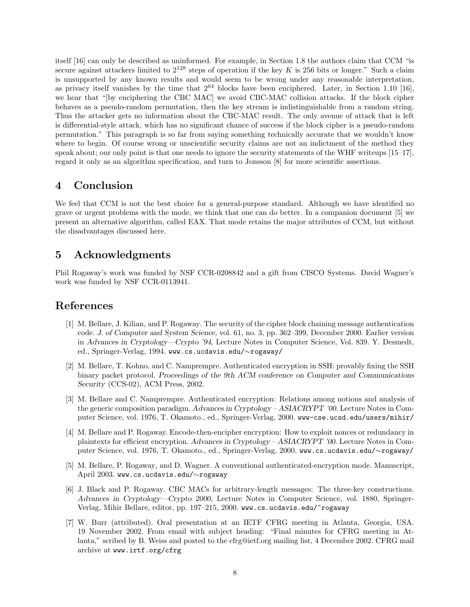itself [16] can only be described as uninformed. For example, in Section 1.8 the authors claim that CCM "is secure against attackers limited to  $2^{128}$  steps of operation if the key K is 256 bits or longer." Such a claim is unsupported by any known results and would seem to be wrong under any reasonable interpretation, as privacy itself vanishes by the time that  $2^{64}$  blocks have been enciphered. Later, in Section 1.10 [16], we hear that "[by enciphering the CBC MAC] we avoid CBC-MAC collision attacks. If the block cipher behaves as a pseudo-random permutation, then the key stream is indistinguishable from a random string. Thus the attacker gets no information about the CBC-MAC result. The only avenue of attack that is left is differential-style attack, which has no significant chance of success if the block cipher is a pseudo-random permutation." This paragraph is so far from saying something technically accurate that we wouldn't know where to begin. Of course wrong or unscientific security claims are not an indictment of the method they speak about; our only point is that one needs to ignore the security statements of the WHF writeups  $[15-17]$ . regard it only as an algorithm specification, and turn to Jonsson [8] for more scientific assertions.

## 4 Conclusion

We feel that CCM is not the best choice for a general-purpose standard. Although we have identified no grave or urgent problems with the mode, we think that one can do better. In a companion document [5] we present an alternative algorithm, called EAX. That mode retains the major attributes of CCM, but without the disadvantages discussed here.

## 5 Acknowledgments

Phil Rogaway's work was funded by NSF CCR-0208842 and a gift from CISCO Systems. David Wagner's work was funded by NSF CCR-0113941.

### References

- [1] M. Bellare, J. Kilian, and P. Rogaway. The security of the cipher block chaining message authentication code. J. of Computer and System Science, vol. 61, no. 3, pp. 362–399, December 2000. Earlier version in Advances in Cryptology—Crypto '94, Lecture Notes in Computer Science, Vol. 839. Y. Desmedt, ed., Springer-Verlag, 1994. www.cs.ucdavis.edu/∼rogaway/
- [2] M. Bellare, T. Kohno, and C. Namprempre. Authenticated encryption in SSH: provably fixing the SSH binary packet protocol. Proceedings of the 9th ACM conference on Computer and Communications Security (CCS-02), ACM Press, 2002.
- [3] M. Bellare and C. Namprempre. Authenticated encryption: Relations among notions and analysis of the generic composition paradigm. Advances in Cryptology – ASIACRYPT '00. Lecture Notes in Computer Science, vol. 1976, T. Okamoto., ed., Springer-Verlag, 2000. www-cse.ucsd.edu/users/mihir/
- [4] M. Bellare and P. Rogaway. Encode-then-encipher encryption: How to exploit nonces or redundancy in plaintexts for efficient encryption. Advances in Cryptology – ASIACRYPT '00. Lecture Notes in Computer Science, vol. 1976, T. Okamoto., ed., Springer-Verlag, 2000. www.cs.ucdavis.edu/∼rogaway/
- [5] M. Bellare, P. Rogaway, and D. Wagner. A conventional authenticated-encryption mode. Manuscript, April 2003. www.cs.ucdavis.edu/∼rogaway
- [6] J. Black and P. Rogaway. CBC MACs for arbitrary-length messages: The three-key constructions. Advances in Cryptology—Crypto 2000, Lecture Notes in Computer Science, vol. 1880, Springer-Verlag, Mihir Bellare, editor, pp. 197–215, 2000. www.cs.ucdavis.edu/~rogaway
- [7] W. Burr (attributed). Oral presentation at an IETF CFRG meeting in Atlanta, Georgia, USA. 19 November 2002. From email with subject heading: "Final minutes for CFRG meeting in Atlanta," scribed by B. Weiss and posted to the cfrg@ietf.org mailing list, 4 December 2002. CFRG mail archive at www.irtf.org/cfrg